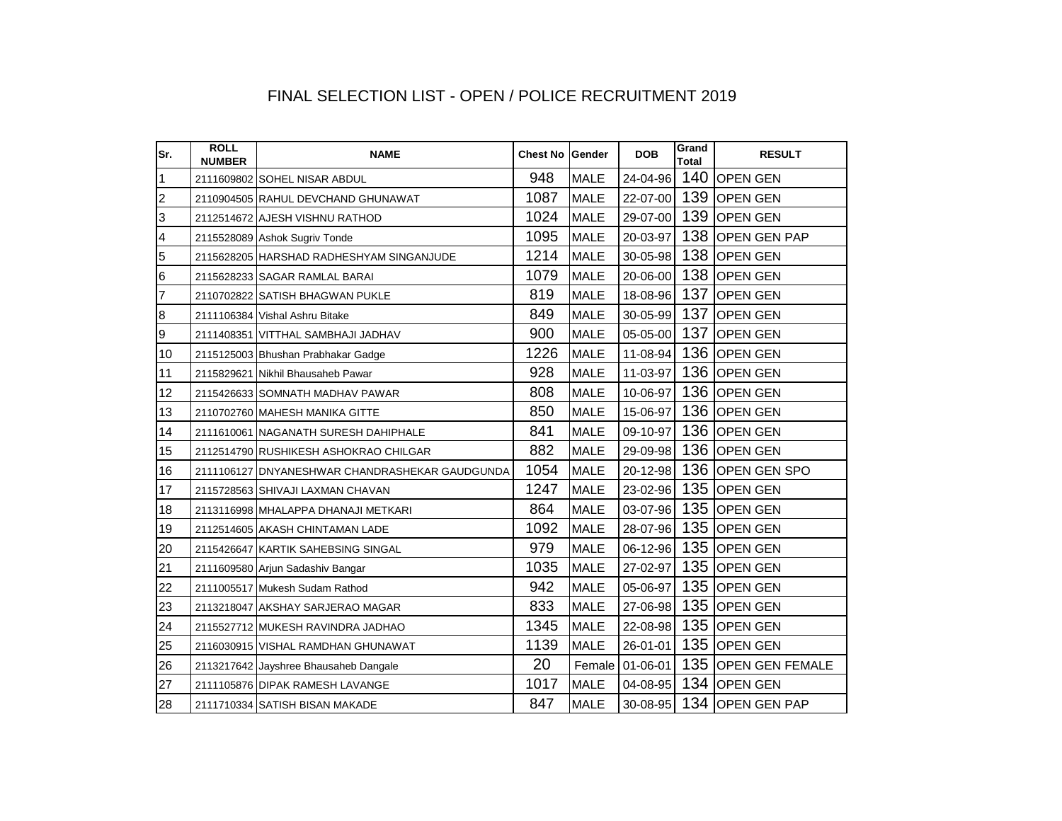## FINAL SELECTION LIST - OPEN / POLICE RECRUITMENT 2019

| Sr.                     | <b>ROLL</b><br><b>NUMBER</b> | <b>NAME</b>                                    | Chest No Gender |             | <b>DOB</b>      | Grand<br><b>Total</b> | <b>RESULT</b>       |
|-------------------------|------------------------------|------------------------------------------------|-----------------|-------------|-----------------|-----------------------|---------------------|
| $\overline{1}$          |                              | 2111609802 SOHEL NISAR ABDUL                   | 948             | <b>MALE</b> | 24-04-96        |                       | 140 OPEN GEN        |
| $\overline{2}$          |                              | 2110904505 RAHUL DEVCHAND GHUNAWAT             | 1087            | <b>MALE</b> | 22-07-00        |                       | 139 OPEN GEN        |
| 3                       |                              | 2112514672 AJESH VISHNU RATHOD                 | 1024            | <b>MALE</b> | 29-07-00        |                       | 139 OPEN GEN        |
| $\overline{\mathbf{4}}$ |                              | 2115528089 Ashok Sugriv Tonde                  | 1095            | <b>MALE</b> | 20-03-97        |                       | 138 OPEN GEN PAP    |
| 5                       |                              | 2115628205 HARSHAD RADHESHYAM SINGANJUDE       | 1214            | <b>MALE</b> | 30-05-98        |                       | 138 OPEN GEN        |
| $\,$ 6                  |                              | 2115628233 SAGAR RAMLAL BARAI                  | 1079            | <b>MALE</b> | 20-06-00        |                       | 138 OPEN GEN        |
| $\overline{7}$          |                              | 2110702822 SATISH BHAGWAN PUKLE                | 819             | <b>MALE</b> | 18-08-96        | 137                   | <b>OPEN GEN</b>     |
| $\boldsymbol{8}$        |                              | 2111106384 Vishal Ashru Bitake                 | 849             | <b>MALE</b> | 30-05-99        |                       | 137 OPEN GEN        |
| 9                       |                              | 2111408351 VITTHAL SAMBHAJI JADHAV             | 900             | <b>MALE</b> | 05-05-00        |                       | 137 OPEN GEN        |
| 10                      |                              | 2115125003 Bhushan Prabhakar Gadge             | 1226            | <b>MALE</b> | 11-08-94        |                       | 136 OPEN GEN        |
| 11                      |                              | 2115829621 Nikhil Bhausaheb Pawar              | 928             | <b>MALE</b> | 11-03-97        |                       | 136 OPEN GEN        |
| 12                      |                              | 2115426633 SOMNATH MADHAV PAWAR                | 808             | <b>MALE</b> | 10-06-97        |                       | 136 OPEN GEN        |
| 13                      |                              | 2110702760 MAHESH MANIKA GITTE                 | 850             | <b>MALE</b> | 15-06-97        |                       | 136 OPEN GEN        |
| 14                      |                              | 2111610061 NAGANATH SURESH DAHIPHALE           | 841             | <b>MALE</b> | 09-10-97        |                       | 136 OPEN GEN        |
| 15                      |                              | 2112514790 RUSHIKESH ASHOKRAO CHILGAR          | 882             | <b>MALE</b> | 29-09-98        |                       | 136 OPEN GEN        |
| 16                      |                              | 2111106127 DNYANESHWAR CHANDRASHEKAR GAUDGUNDA | 1054            | <b>MALE</b> | 20-12-98        |                       | 136 OPEN GEN SPO    |
| 17                      |                              | 2115728563 SHIVAJI LAXMAN CHAVAN               | 1247            | <b>MALE</b> | 23-02-96        |                       | 135 OPEN GEN        |
| 18                      |                              | 2113116998 MHALAPPA DHANAJI METKARI            | 864             | <b>MALE</b> | 03-07-96        |                       | 135 OPEN GEN        |
| 19                      |                              | 2112514605 AKASH CHINTAMAN LADE                | 1092            | <b>MALE</b> | 28-07-96        |                       | 135 OPEN GEN        |
| 20                      |                              | 2115426647 KARTIK SAHEBSING SINGAL             | 979             | <b>MALE</b> | 06-12-96        |                       | 135 OPEN GEN        |
| 21                      |                              | 2111609580 Arjun Sadashiv Bangar               | 1035            | <b>MALE</b> | 27-02-97        |                       | 135 OPEN GEN        |
| 22                      |                              | 2111005517 Mukesh Sudam Rathod                 | 942             | <b>MALE</b> | 05-06-97        |                       | 135 OPEN GEN        |
| 23                      |                              | 2113218047 AKSHAY SARJERAO MAGAR               | 833             | <b>MALE</b> | 27-06-98        |                       | 135 OPEN GEN        |
| 24                      |                              | 2115527712 MUKESH RAVINDRA JADHAO              | 1345            | <b>MALE</b> | 22-08-98        |                       | 135 OPEN GEN        |
| 25                      |                              | 2116030915 VISHAL RAMDHAN GHUNAWAT             | 1139            | <b>MALE</b> | 26-01-01        |                       | 135 OPEN GEN        |
| 26                      |                              | 2113217642 Jayshree Bhausaheb Dangale          | 20              |             | Female 01-06-01 |                       | 135 OPEN GEN FEMALE |
| 27                      |                              | 2111105876 DIPAK RAMESH LAVANGE                | 1017            | <b>MALE</b> | 04-08-95        |                       | 134 OPEN GEN        |
| 28                      |                              | 2111710334 SATISH BISAN MAKADE                 | 847             | <b>MALE</b> | 30-08-95        |                       | 134 OPEN GEN PAP    |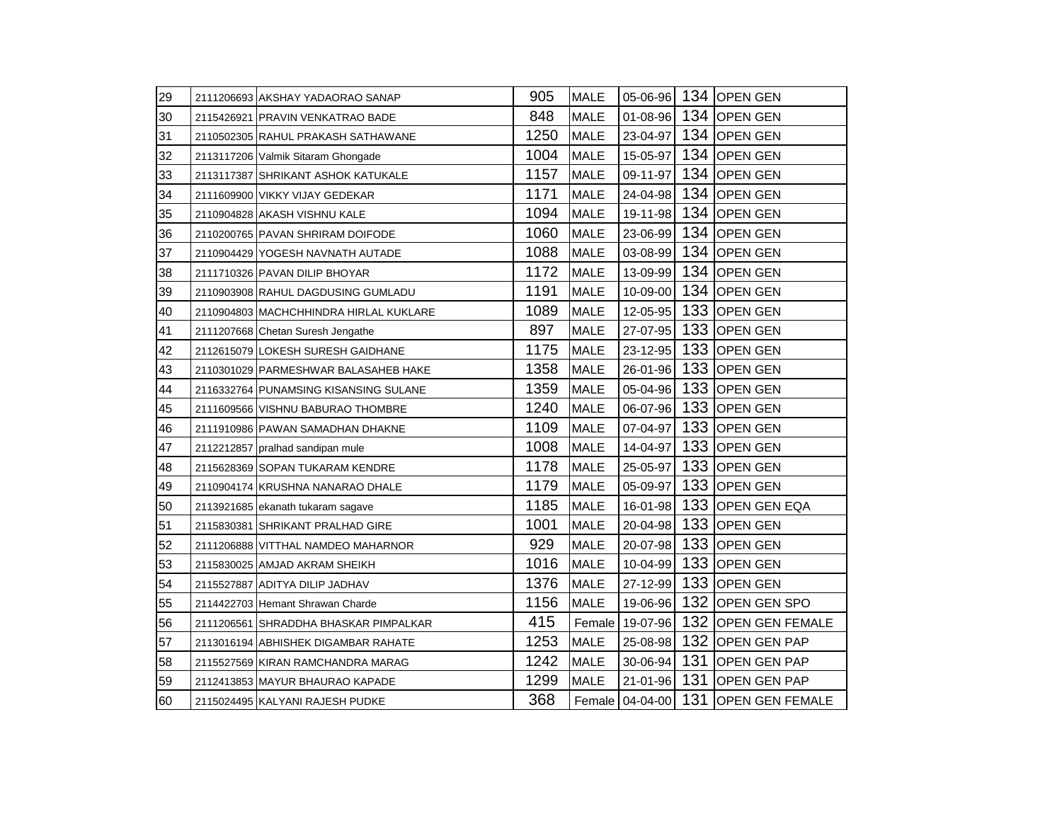| 29 | 2111206693 AKSHAY YADAORAO SANAP       | 905  | <b>MALE</b> |          |     | 05-06-96 134 OPEN GEN               |
|----|----------------------------------------|------|-------------|----------|-----|-------------------------------------|
| 30 | 2115426921 PRAVIN VENKATRAO BADE       | 848  | <b>MALE</b> | 01-08-96 |     | 134 OPEN GEN                        |
| 31 | 2110502305 RAHUL PRAKASH SATHAWANE     | 1250 | <b>MALE</b> | 23-04-97 |     | 134 OPEN GEN                        |
| 32 | 2113117206 Valmik Sitaram Ghongade     | 1004 | <b>MALE</b> | 15-05-97 |     | 134 OPEN GEN                        |
| 33 | 2113117387 SHRIKANT ASHOK KATUKALE     | 1157 | <b>MALE</b> | 09-11-97 |     | 134 OPEN GEN                        |
| 34 | 2111609900 VIKKY VIJAY GEDEKAR         | 1171 | <b>MALE</b> | 24-04-98 | 134 | <b>OPEN GEN</b>                     |
| 35 | 2110904828 AKASH VISHNU KALE           | 1094 | <b>MALE</b> | 19-11-98 |     | 134 OPEN GEN                        |
| 36 | 2110200765 PAVAN SHRIRAM DOIFODE       | 1060 | <b>MALE</b> | 23-06-99 |     | 134 OPEN GEN                        |
| 37 | 2110904429 YOGESH NAVNATH AUTADE       | 1088 | <b>MALE</b> | 03-08-99 | 134 | <b>OPEN GEN</b>                     |
| 38 | 2111710326 PAVAN DILIP BHOYAR          | 1172 | <b>MALE</b> | 13-09-99 | 134 | <b>OPEN GEN</b>                     |
| 39 | 2110903908 RAHUL DAGDUSING GUMLADU     | 1191 | <b>MALE</b> | 10-09-00 | 134 | <b>OPEN GEN</b>                     |
| 40 | 2110904803 MACHCHHINDRA HIRLAL KUKLARE | 1089 | <b>MALE</b> | 12-05-95 | 133 | <b>OPEN GEN</b>                     |
| 41 | 2111207668 Chetan Suresh Jengathe      | 897  | <b>MALE</b> | 27-07-95 | 133 | <b>OPEN GEN</b>                     |
| 42 | 2112615079 LOKESH SURESH GAIDHANE      | 1175 | <b>MALE</b> | 23-12-95 | 133 | <b>OPEN GEN</b>                     |
| 43 | 2110301029 PARMESHWAR BALASAHEB HAKE   | 1358 | <b>MALE</b> | 26-01-96 | 133 | <b>OPEN GEN</b>                     |
| 44 | 2116332764 PUNAMSING KISANSING SULANE  | 1359 | <b>MALE</b> | 05-04-96 | 133 | <b>OPEN GEN</b>                     |
| 45 | 2111609566 VISHNU BABURAO THOMBRE      | 1240 | <b>MALE</b> | 06-07-96 | 133 | <b>OPEN GEN</b>                     |
| 46 | 2111910986 PAWAN SAMADHAN DHAKNE       | 1109 | <b>MALE</b> | 07-04-97 | 133 | <b>OPEN GEN</b>                     |
| 47 | 2112212857 pralhad sandipan mule       | 1008 | <b>MALE</b> | 14-04-97 |     | 133 OPEN GEN                        |
| 48 | 2115628369 SOPAN TUKARAM KENDRE        | 1178 | <b>MALE</b> | 25-05-97 | 133 | <b>OPEN GEN</b>                     |
| 49 | 2110904174 KRUSHNA NANARAO DHALE       | 1179 | <b>MALE</b> | 05-09-97 | 133 | <b>OPEN GEN</b>                     |
| 50 | 2113921685 ekanath tukaram sagave      | 1185 | <b>MALE</b> | 16-01-98 |     | 133 OPEN GEN EQA                    |
| 51 | 2115830381 SHRIKANT PRALHAD GIRE       | 1001 | <b>MALE</b> | 20-04-98 | 133 | <b>OPEN GEN</b>                     |
| 52 | 2111206888 VITTHAL NAMDEO MAHARNOR     | 929  | <b>MALE</b> | 20-07-98 | 133 | <b>OPEN GEN</b>                     |
| 53 | 2115830025 AMJAD AKRAM SHEIKH          | 1016 | <b>MALE</b> | 10-04-99 |     | 133 OPEN GEN                        |
| 54 | 2115527887 ADITYA DILIP JADHAV         | 1376 | <b>MALE</b> | 27-12-99 | 133 | <b>OPEN GEN</b>                     |
| 55 | 2114422703 Hemant Shrawan Charde       | 1156 | <b>MALE</b> | 19-06-96 |     | 132 OPEN GEN SPO                    |
| 56 | 2111206561 SHRADDHA BHASKAR PIMPALKAR  | 415  | Female      | 19-07-96 |     | 132 OPEN GEN FEMALE                 |
| 57 | 2113016194 ABHISHEK DIGAMBAR RAHATE    | 1253 | <b>MALE</b> | 25-08-98 |     | 132 OPEN GEN PAP                    |
| 58 | 2115527569 KIRAN RAMCHANDRA MARAG      | 1242 | <b>MALE</b> | 30-06-94 |     | 131 OPEN GEN PAP                    |
| 59 | 2112413853 MAYUR BHAURAO KAPADE        | 1299 | <b>MALE</b> | 21-01-96 |     | 131 OPEN GEN PAP                    |
| 60 | 2115024495 KALYANI RAJESH PUDKE        | 368  |             |          |     | Female 04-04-00 131 OPEN GEN FEMALE |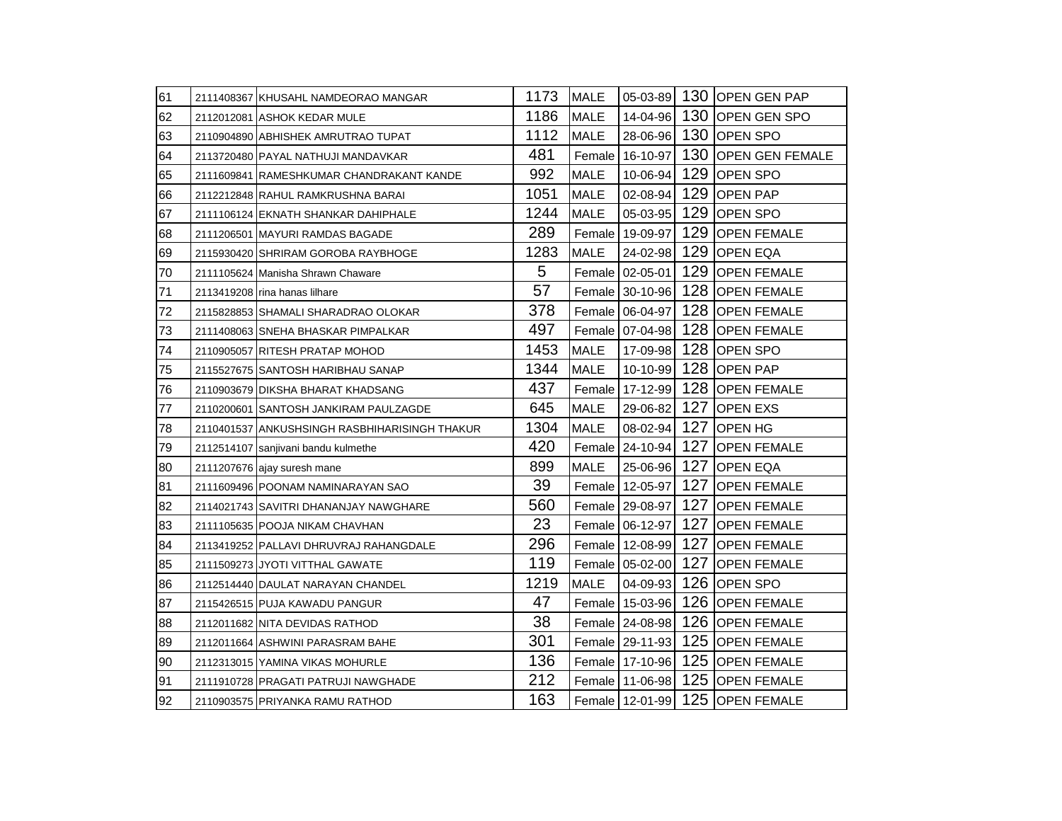| 61  | 2111408367 KHUSAHL NAMDEORAO MANGAR           | 1173 | <b>MALE</b> |                   |     | 05-03-89 130 OPEN GEN PAP       |
|-----|-----------------------------------------------|------|-------------|-------------------|-----|---------------------------------|
| 62  | 2112012081 ASHOK KEDAR MULE                   | 1186 | <b>MALE</b> | 14-04-96          |     | 130 OPEN GEN SPO                |
| 63  | 2110904890 ABHISHEK AMRUTRAO TUPAT            | 1112 | <b>MALE</b> | 28-06-96          |     | 130 OPEN SPO                    |
| 64  | 2113720480 PAYAL NATHUJI MANDAVKAR            | 481  |             | Female 16-10-97   |     | 130 OPEN GEN FEMALE             |
| 65  | 2111609841 RAMESHKUMAR CHANDRAKANT KANDE      | 992  | <b>MALE</b> | 10-06-94          |     | 129 OPEN SPO                    |
| 66  | 2112212848 RAHUL RAMKRUSHNA BARAI             | 1051 | <b>MALE</b> | 02-08-94          | 129 | <b>OPEN PAP</b>                 |
| 67  | 2111106124 EKNATH SHANKAR DAHIPHALE           | 1244 | <b>MALE</b> | 05-03-95          |     | 129 OPEN SPO                    |
| 68  | 2111206501 MAYURI RAMDAS BAGADE               | 289  |             | Female 19-09-97   |     | 129 OPEN FEMALE                 |
| 69  | 2115930420 SHRIRAM GOROBA RAYBHOGE            | 1283 | <b>MALE</b> | 24-02-98          | 129 | <b>OPEN EQA</b>                 |
| 70  | 2111105624 Manisha Shrawn Chaware             | 5    |             | Female 02-05-01   |     | 129 OPEN FEMALE                 |
| 71  | 2113419208 rina hanas lilhare                 | 57   |             | Female 30-10-96   |     | 128 OPEN FEMALE                 |
| 72  | 2115828853 SHAMALI SHARADRAO OLOKAR           | 378  |             | Female 06-04-97   |     | 128 OPEN FEMALE                 |
| 73  | 2111408063 SNEHA BHASKAR PIMPALKAR            | 497  |             | Female 07-04-98   |     | 128 OPEN FEMALE                 |
| 74  | 2110905057 RITESH PRATAP MOHOD                | 1453 | <b>MALE</b> | 17-09-98          |     | 128 OPEN SPO                    |
| 75  | 2115527675 SANTOSH HARIBHAU SANAP             | 1344 | <b>MALE</b> | 10-10-99          |     | 128 OPEN PAP                    |
| 76  | 2110903679 DIKSHA BHARAT KHADSANG             | 437  |             | Female 17-12-99   |     | 128 OPEN FEMALE                 |
| 77  | 2110200601 SANTOSH JANKIRAM PAULZAGDE         | 645  | <b>MALE</b> | 29-06-82          | 127 | <b>OPEN EXS</b>                 |
| 78  | 2110401537 ANKUSHSINGH RASBHIHARISINGH THAKUR | 1304 | <b>MALE</b> | 08-02-94          | 127 | <b>OPEN HG</b>                  |
| 79  | 2112514107 sanjivani bandu kulmethe           | 420  |             | Female 24-10-94   |     | 127 OPEN FEMALE                 |
| 80  | 2111207676 ajay suresh mane                   | 899  | <b>MALE</b> | 25-06-96          | 127 | <b>OPEN EQA</b>                 |
| 81  | 2111609496 POONAM NAMINARAYAN SAO             | 39   |             | Female   12-05-97 | 127 | <b>OPEN FEMALE</b>              |
| 82  | 2114021743 SAVITRI DHANANJAY NAWGHARE         | 560  |             | Female 29-08-97   | 127 | <b>OPEN FEMALE</b>              |
| 83  | 2111105635 POOJA NIKAM CHAVHAN                | 23   |             | Female 06-12-97   | 127 | <b>OPEN FEMALE</b>              |
| 84  | 2113419252 PALLAVI DHRUVRAJ RAHANGDALE        | 296  |             | Female 12-08-99   |     | 127 OPEN FEMALE                 |
| 85  | 2111509273 JYOTI VITTHAL GAWATE               | 119  |             | Female 05-02-00   | 127 | <b>OPEN FEMALE</b>              |
| 186 | 2112514440 DAULAT NARAYAN CHANDEL             | 1219 | MALE        | 04-09-93          |     | 126 OPEN SPO                    |
| 87  | 2115426515 PUJA KAWADU PANGUR                 | 47   |             | Female 15-03-96   |     | 126 OPEN FEMALE                 |
| 88  | 2112011682 NITA DEVIDAS RATHOD                | 38   |             | Female 24-08-98   |     | 126 OPEN FEMALE                 |
| 89  | 2112011664 ASHWINI PARASRAM BAHE              | 301  |             | Female 29-11-93   |     | 125 OPEN FEMALE                 |
| 90  | 2112313015 YAMINA VIKAS MOHURLE               | 136  |             | Female 17-10-96   |     | 125 OPEN FEMALE                 |
| 91  | 2111910728 PRAGATI PATRUJI NAWGHADE           | 212  |             |                   |     | Female 11-06-98 125 OPEN FEMALE |
| 92  | 2110903575 PRIYANKA RAMU RATHOD               | 163  |             |                   |     | Female 12-01-99 125 OPEN FEMALE |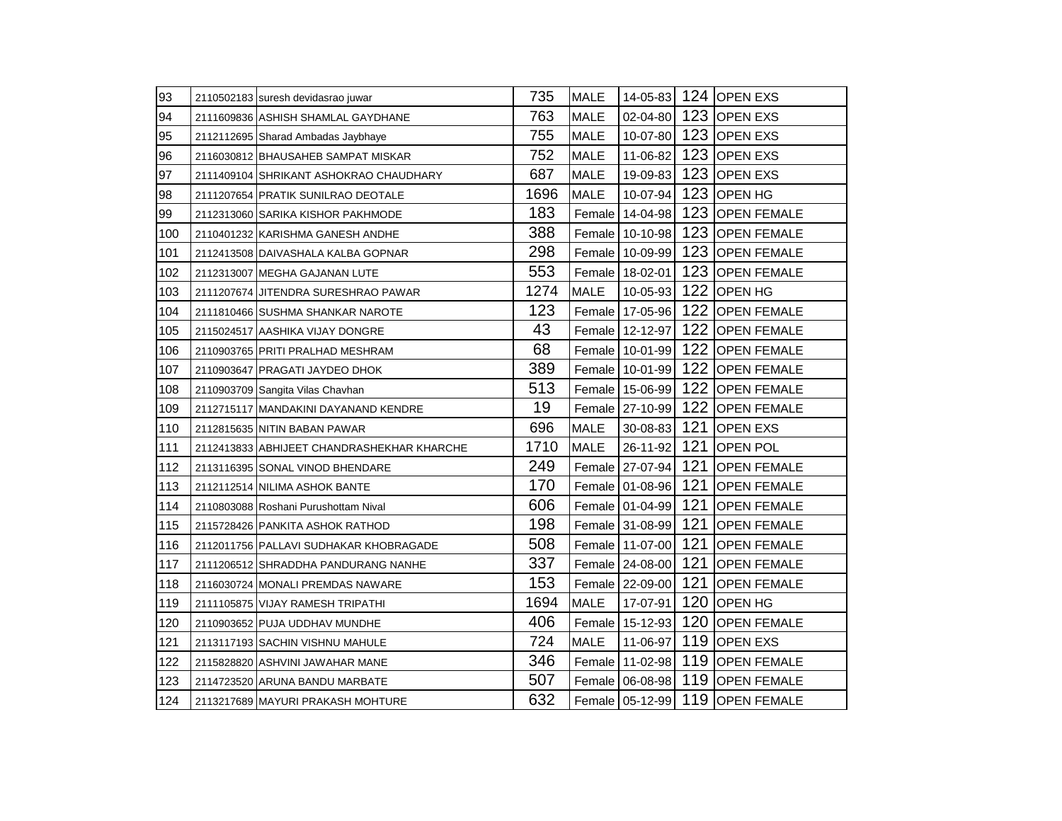| 93  | 2110502183 suresh devidasrao juwar         | 735  | <b>MALE</b> |                 |     | 14-05-83 124 OPEN EXS                 |
|-----|--------------------------------------------|------|-------------|-----------------|-----|---------------------------------------|
| 94  | 2111609836 ASHISH SHAMLAL GAYDHANE         | 763  | <b>MALE</b> |                 |     | 02-04-80 123 OPEN EXS                 |
| 95  | 2112112695 Sharad Ambadas Jaybhaye         | 755  | <b>MALE</b> | 10-07-80        |     | 123 OPEN EXS                          |
| 96  | 2116030812 BHAUSAHEB SAMPAT MISKAR         | 752  | <b>MALE</b> | 11-06-82        |     | 123 OPEN EXS                          |
| 97  | 2111409104 SHRIKANT ASHOKRAO CHAUDHARY     | 687  | <b>MALE</b> | 19-09-83        | 123 | <b>OPEN EXS</b>                       |
| 98  | 2111207654 PRATIK SUNILRAO DEOTALE         | 1696 | <b>MALE</b> | 10-07-94        | 123 | <b>OPEN HG</b>                        |
| 99  | 2112313060 SARIKA KISHOR PAKHMODE          | 183  |             | Female 14-04-98 |     | 123 OPEN FEMALE                       |
| 100 | 2110401232 KARISHMA GANESH ANDHE           | 388  |             | Female 10-10-98 |     | 123 OPEN FEMALE                       |
| 101 | 2112413508 DAIVASHALA KALBA GOPNAR         | 298  |             | Female 10-09-99 |     | 123 OPEN FEMALE                       |
| 102 | 2112313007 MEGHA GAJANAN LUTE              | 553  |             | Female 18-02-01 |     | 123 OPEN FEMALE                       |
| 103 | 2111207674 JITENDRA SURESHRAO PAWAR        | 1274 | <b>MALE</b> | 10-05-93        | 122 | <b>OPEN HG</b>                        |
| 104 | 2111810466 SUSHMA SHANKAR NAROTE           | 123  |             | Female 17-05-96 |     | 122 OPEN FEMALE                       |
| 105 | 2115024517 AASHIKA VIJAY DONGRE            | 43   |             | Female 12-12-97 |     | 122 OPEN FEMALE                       |
| 106 | 2110903765 PRITI PRALHAD MESHRAM           | 68   |             | Female 10-01-99 |     | 122 OPEN FEMALE                       |
| 107 | 2110903647 PRAGATI JAYDEO DHOK             | 389  |             | Female 10-01-99 |     | 122 OPEN FEMALE                       |
| 108 | 2110903709 Sangita Vilas Chavhan           | 513  |             | Female 15-06-99 |     | 122 OPEN FEMALE                       |
| 109 | 2112715117 MANDAKINI DAYANAND KENDRE       | 19   |             | Female 27-10-99 |     | 122 OPEN FEMALE                       |
| 110 | 2112815635 NITIN BABAN PAWAR               | 696  | MALE        | 30-08-83        |     | 121 OPEN EXS                          |
| 111 | 2112413833 ABHIJEET CHANDRASHEKHAR KHARCHE | 1710 | <b>MALE</b> | 26-11-92        |     | 121 OPEN POL                          |
| 112 | 2113116395 SONAL VINOD BHENDARE            | 249  |             | Female 27-07-94 | 121 | <b>OPEN FEMALE</b>                    |
| 113 | 2112112514 NILIMA ASHOK BANTE              | 170  |             | Female 01-08-96 | 121 | <b>OPEN FEMALE</b>                    |
| 114 | 2110803088 Roshani Purushottam Nival       | 606  |             | Female 01-04-99 | 121 | <b>OPEN FEMALE</b>                    |
| 115 | 2115728426 PANKITA ASHOK RATHOD            | 198  |             | Female 31-08-99 | 121 | <b>OPEN FEMALE</b>                    |
| 116 | 2112011756 PALLAVI SUDHAKAR KHOBRAGADE     | 508  |             | Female 11-07-00 | 121 | <b>OPEN FEMALE</b>                    |
| 117 | 2111206512 SHRADDHA PANDURANG NANHE        | 337  |             | Female 24-08-00 | 121 | <b>OPEN FEMALE</b>                    |
| 118 | 2116030724 MONALI PREMDAS NAWARE           | 153  |             | Female 22-09-00 | 121 | <b>OPEN FEMALE</b>                    |
| 119 | 2111105875 VIJAY RAMESH TRIPATHI           | 1694 | <b>MALE</b> | 17-07-91        |     | 120 OPEN HG                           |
| 120 | 2110903652 PUJA UDDHAV MUNDHE              | 406  |             | Female 15-12-93 |     | 120 OPEN FEMALE                       |
| 121 | 2113117193 SACHIN VISHNU MAHULE            | 724  | <b>MALE</b> | 11-06-97        |     | 119 OPEN EXS                          |
| 122 | 2115828820 ASHVINI JAWAHAR MANE            | 346  |             |                 |     | Female   11-02-98   119   OPEN FEMALE |
| 123 | 2114723520 ARUNA BANDU MARBATE             | 507  |             |                 |     | Female 06-08-98 119 OPEN FEMALE       |
| 124 | 2113217689 MAYURI PRAKASH MOHTURE          | 632  |             |                 |     | Female 05-12-99 119 OPEN FEMALE       |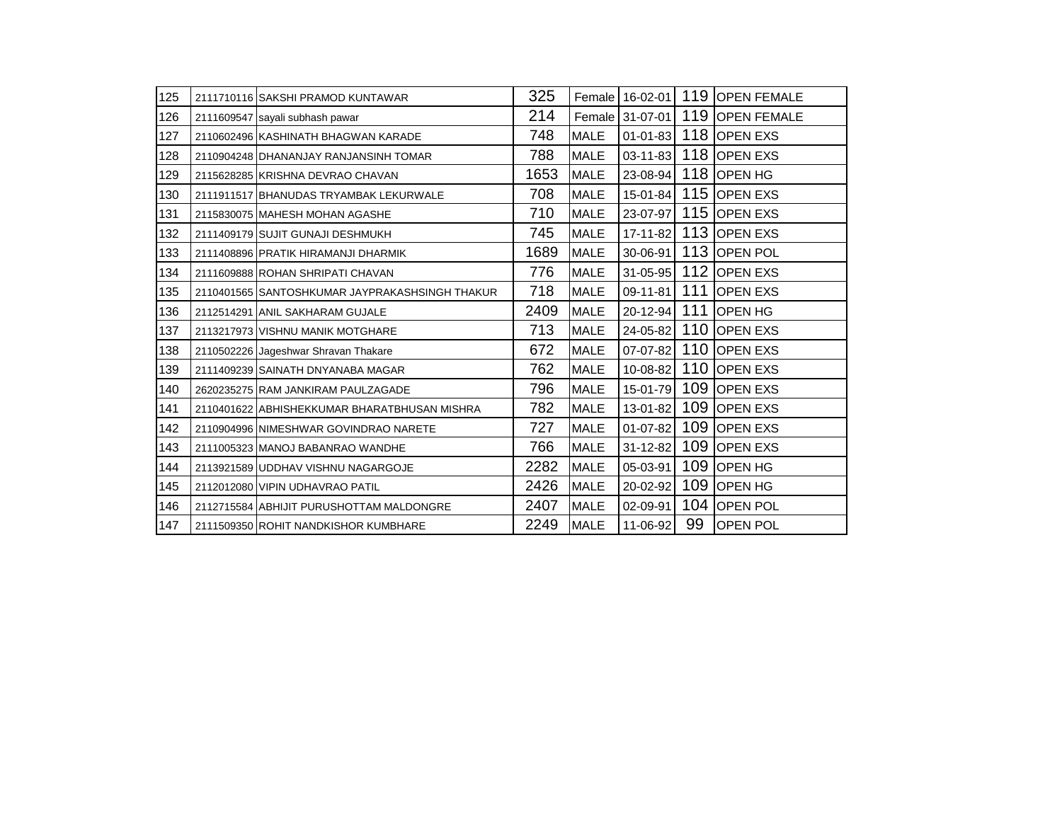| 125 | 2111710116 SAKSHI PRAMOD KUNTAWAR              | 325  |             | Female 16-02-01 |    | 119 OPEN FEMALE      |
|-----|------------------------------------------------|------|-------------|-----------------|----|----------------------|
| 126 | 2111609547 sayali subhash pawar                | 214  |             | Female 31-07-01 |    | 119 OPEN FEMALE      |
| 127 | 2110602496 KASHINATH BHAGWAN KARADE            | 748  | <b>MALE</b> | $01 - 01 - 83$  |    | 118 OPEN EXS         |
| 128 | 2110904248 DHANANJAY RANJANSINH TOMAR          | 788  | <b>MALE</b> | $03 - 11 - 83$  |    | 118 OPEN EXS         |
| 129 | 2115628285 KRISHNA DEVRAO CHAVAN               | 1653 | <b>MALE</b> |                 |    | 23-08-94 118 OPEN HG |
| 130 | 2111911517 BHANUDAS TRYAMBAK LEKURWALE         | 708  | <b>MALE</b> | $15 - 01 - 84$  |    | 115 OPEN EXS         |
| 131 | 2115830075 MAHESH MOHAN AGASHE                 | 710  | <b>MALE</b> | 23-07-97        |    | 115 OPEN EXS         |
| 132 | 2111409179 SUJIT GUNAJI DESHMUKH               | 745  | <b>MALE</b> | $17 - 11 - 82$  |    | 113 OPEN EXS         |
| 133 | 2111408896 PRATIK HIRAMANJI DHARMIK            | 1689 | <b>MALE</b> | 30-06-91        |    | 113 OPEN POL         |
| 134 | 2111609888 ROHAN SHRIPATI CHAVAN               | 776  | <b>MALE</b> | 31-05-95        |    | 112 OPEN EXS         |
| 135 | 2110401565 SANTOSHKUMAR JAYPRAKASHSINGH THAKUR | 718  | <b>MALE</b> | 09-11-81        |    | 111 OPEN EXS         |
| 136 | 2112514291 ANIL SAKHARAM GUJALE                | 2409 | <b>MALE</b> | 20-12-94        |    | 111 OPEN HG          |
| 137 | 2113217973 VISHNU MANIK MOTGHARE               | 713  | <b>MALE</b> | 24-05-82        |    | 110 OPEN EXS         |
| 138 | 2110502226 Jageshwar Shravan Thakare           | 672  | <b>MALE</b> | 07-07-82        |    | 110 OPEN EXS         |
| 139 | 2111409239 SAINATH DNYANABA MAGAR              | 762  | <b>MALE</b> | 10-08-82        |    | 110 OPEN EXS         |
| 140 | 2620235275 RAM JANKIRAM PAULZAGADE             | 796  | <b>MALE</b> | 15-01-79        |    | 109 OPEN EXS         |
| 141 | 2110401622 ABHISHEKKUMAR BHARATBHUSAN MISHRA   | 782  | <b>MALE</b> | 13-01-82        |    | 109 OPEN EXS         |
| 142 | 2110904996 NIMESHWAR GOVINDRAO NARETE          | 727  | <b>MALE</b> | $01 - 07 - 82$  |    | 109 OPEN EXS         |
| 143 | 2111005323 MANOJ BABANRAO WANDHE               | 766  | <b>MALE</b> | $31 - 12 - 82$  |    | 109 OPEN EXS         |
| 144 | 2113921589 UDDHAV VISHNU NAGARGOJE             | 2282 | <b>MALE</b> | 05-03-91        |    | 109 OPEN HG          |
| 145 | 2112012080 VIPIN UDHAVRAO PATIL                | 2426 | <b>MALE</b> | 20-02-92        |    | 109 OPEN HG          |
| 146 | 2112715584 ABHIJIT PURUSHOTTAM MALDONGRE       | 2407 | <b>MALE</b> | 02-09-91        |    | 104 OPEN POL         |
| 147 | 2111509350 ROHIT NANDKISHOR KUMBHARE           | 2249 | <b>MALE</b> | 11-06-92        | 99 | <b>OPEN POL</b>      |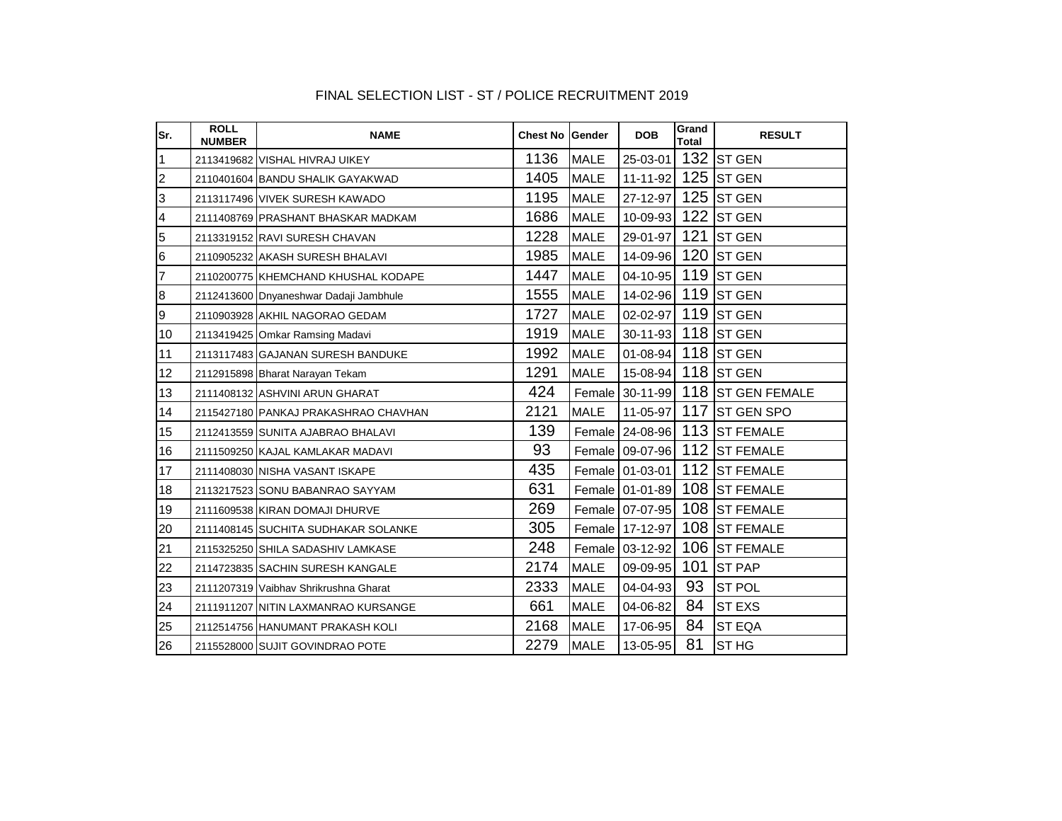| Sr.                     | <b>ROLL</b><br><b>NUMBER</b> | <b>NAME</b>                            | <b>Chest No Gender</b> |             | <b>DOB</b>          | Grand<br>Total | <b>RESULT</b>                     |
|-------------------------|------------------------------|----------------------------------------|------------------------|-------------|---------------------|----------------|-----------------------------------|
| $\mathbf{1}$            |                              | 2113419682 VISHAL HIVRAJ UIKEY         | 1136                   | <b>MALE</b> | 25-03-01            |                | 132 ST GEN                        |
| $\overline{2}$          |                              | 2110401604 BANDU SHALIK GAYAKWAD       | 1405                   | <b>MALE</b> | $11 - 11 - 92$      |                | $125$ ST GEN                      |
| 3                       |                              | 2113117496 VIVEK SURESH KAWADO         | 1195                   | <b>MALE</b> | 27-12-97            | 125            | <b>ST GEN</b>                     |
| $\overline{\mathbf{4}}$ |                              | 2111408769 PRASHANT BHASKAR MADKAM     | 1686                   | <b>MALE</b> | 10-09-93            |                | $122$ ST GEN                      |
| 5                       |                              | 2113319152 RAVI SURESH CHAVAN          | 1228                   | <b>MALE</b> | 29-01-97            |                | 121 $ST GEN$                      |
| $6\phantom{.}6$         |                              | 2110905232 AKASH SURESH BHALAVI        | 1985                   | <b>MALE</b> | 14-09-96 120 ST GEN |                |                                   |
| $\overline{7}$          |                              | 2110200775 KHEMCHAND KHUSHAL KODAPE    | 1447                   | <b>MALE</b> | $04 - 10 - 95$      |                | 119 $S$ T GEN                     |
| 8                       |                              | 2112413600 Dnyaneshwar Dadaji Jambhule | 1555                   | <b>MALE</b> | 14-02-96 119 ST GEN |                |                                   |
| $\overline{9}$          |                              | 2110903928 AKHIL NAGORAO GEDAM         | 1727                   | <b>MALE</b> | 02-02-97 119 ST GEN |                |                                   |
| 10                      |                              | 2113419425 Omkar Ramsing Madavi        | 1919                   | <b>MALE</b> | 30-11-93 118 ST GEN |                |                                   |
| 11                      |                              | 2113117483 GAJANAN SURESH BANDUKE      | 1992                   | <b>MALE</b> | 01-08-94 118 ST GEN |                |                                   |
| 12                      |                              | 2112915898 Bharat Narayan Tekam        | 1291                   | <b>MALE</b> | 15-08-94 118 ST GEN |                |                                   |
| 13                      |                              | 2111408132 ASHVINI ARUN GHARAT         | 424                    |             |                     |                | Female 30-11-99 118 ST GEN FEMALE |
| 14                      |                              | 2115427180 PANKAJ PRAKASHRAO CHAVHAN   | 2121                   | <b>MALE</b> | $11 - 05 - 97$      |                | 117 ST GEN SPO                    |
| 15                      |                              | 2112413559 SUNITA AJABRAO BHALAVI      | 139                    |             |                     |                | Female 24-08-96 113 ST FEMALE     |
| 16                      |                              | 2111509250 KAJAL KAMLAKAR MADAVI       | 93                     |             |                     |                | Female 09-07-96 112 ST FEMALE     |
| 17                      |                              | 2111408030 NISHA VASANT ISKAPE         | 435                    |             | Female 01-03-01     |                | 112 ST FEMALE                     |
| 18                      |                              | 2113217523 SONU BABANRAO SAYYAM        | 631                    |             | Female 01-01-89     |                | 108 ST FEMALE                     |
| 19                      |                              | 2111609538 KIRAN DOMAJI DHURVE         | 269                    |             | Female 07-07-95     |                | 108 ST FEMALE                     |
| 20                      |                              | 2111408145 SUCHITA SUDHAKAR SOLANKE    | 305                    |             | Female 17-12-97     |                | 108 ST FEMALE                     |
| 21                      |                              | 2115325250 SHILA SADASHIV LAMKASE      | 248                    |             | Female 03-12-92     |                | 106 ST FEMALE                     |
| 22                      |                              | 2114723835 SACHIN SURESH KANGALE       | 2174                   | <b>MALE</b> | 09-09-95            | 101            | <b>ST PAP</b>                     |
| 23                      |                              | 2111207319 Vaibhav Shrikrushna Gharat  | 2333                   | <b>MALE</b> | 04-04-93            | 93             | <b>ST POL</b>                     |
| 24                      |                              | 2111911207 NITIN LAXMANRAO KURSANGE    | 661                    | <b>MALE</b> | 04-06-82            | 84             | <b>ST EXS</b>                     |
| 25                      |                              | 2112514756 HANUMANT PRAKASH KOLI       | 2168                   | <b>MALE</b> | 17-06-95            | 84             | <b>ST EQA</b>                     |
| 26                      |                              | 2115528000 SUJIT GOVINDRAO POTE        | 2279                   | <b>MALE</b> | 13-05-95            | 81             | <b>STHG</b>                       |

### FINAL SELECTION LIST - ST / POLICE RECRUITMENT 2019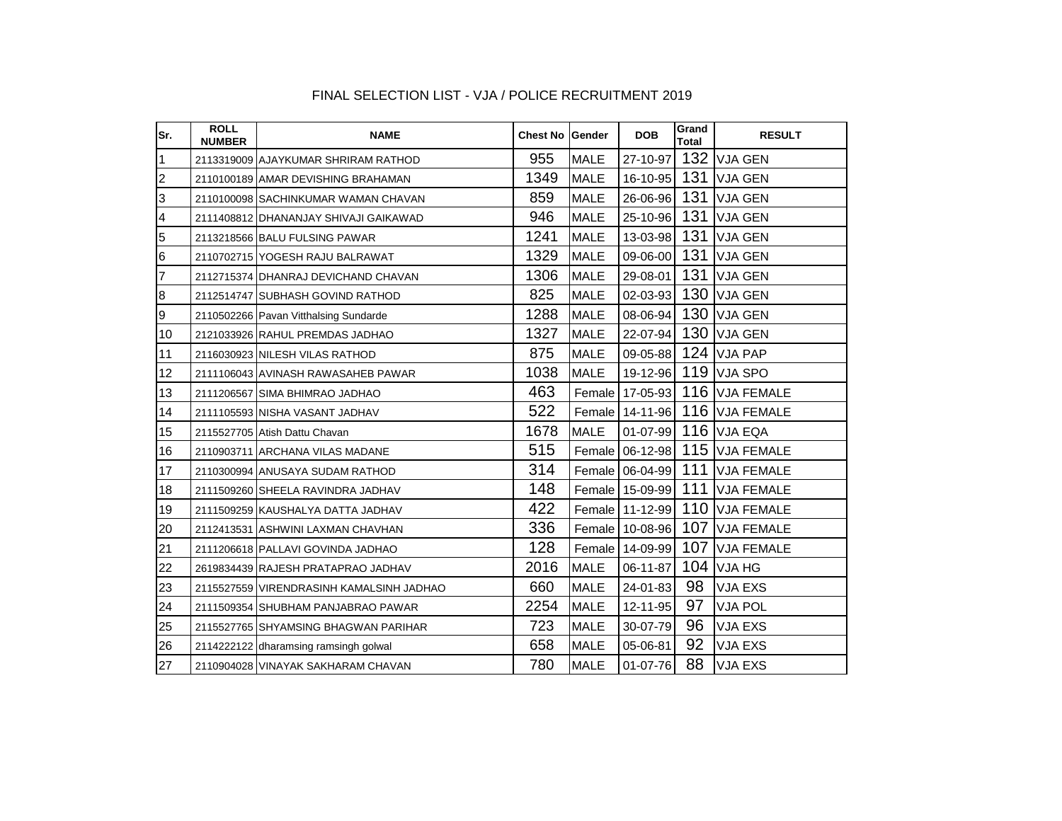| Sr.                     | <b>ROLL</b><br><b>NUMBER</b> | <b>NAME</b>                              | <b>Chest No Gender</b> |             | <b>DOB</b>      | Grand<br>Total | <b>RESULT</b>                  |
|-------------------------|------------------------------|------------------------------------------|------------------------|-------------|-----------------|----------------|--------------------------------|
| 1                       |                              | 2113319009 AJAYKUMAR SHRIRAM RATHOD      | 955                    | <b>MALE</b> |                 |                | 27-10-97 132 VJA GEN           |
| $\overline{2}$          |                              | 2110100189 AMAR DEVISHING BRAHAMAN       | 1349                   | <b>MALE</b> |                 |                | 16-10-95 131 VJA GEN           |
| 3                       |                              | 2110100098 SACHINKUMAR WAMAN CHAVAN      | 859                    | <b>MALE</b> | 26-06-96        | 131            | <b>VJA GEN</b>                 |
| $\overline{\mathbf{4}}$ |                              | 2111408812 DHANANJAY SHIVAJI GAIKAWAD    | 946                    | <b>MALE</b> | 25-10-96        | 131            | <b>VJA GEN</b>                 |
| $\overline{5}$          |                              | 2113218566 BALU FULSING PAWAR            | 1241                   | <b>MALE</b> | 13-03-98        | 131            | <b>VJA GEN</b>                 |
| 6                       |                              | 2110702715 YOGESH RAJU BALRAWAT          | 1329                   | <b>MALE</b> | 09-06-00        | 131            | <b>VJA GEN</b>                 |
| 7                       |                              | 2112715374 DHANRAJ DEVICHAND CHAVAN      | 1306                   | <b>MALE</b> | 29-08-01        | 131            | <b>VJA GEN</b>                 |
| 8                       |                              | 2112514747 SUBHASH GOVIND RATHOD         | 825                    | <b>MALE</b> | $02 - 03 - 93$  | 130            | <b>VJA GEN</b>                 |
| 9                       |                              | 2110502266 Pavan Vitthalsing Sundarde    | 1288                   | <b>MALE</b> | 08-06-94        | 130            | <b>VJA GEN</b>                 |
| 10                      |                              | 2121033926 RAHUL PREMDAS JADHAO          | 1327                   | <b>MALE</b> | 22-07-94        | 130            | <b>VJA GEN</b>                 |
| 11                      |                              | 2116030923 NILESH VILAS RATHOD           | 875                    | <b>MALE</b> | 09-05-88        |                | $124$ VJA PAP                  |
| 12                      |                              | 2111106043 AVINASH RAWASAHEB PAWAR       | 1038                   | <b>MALE</b> |                 |                | 19-12-96 119 VJA SPO           |
| 13                      |                              | 2111206567 SIMA BHIMRAO JADHAO           | 463                    |             | Female 17-05-93 | 116            | <b>VJA FEMALE</b>              |
| 14                      |                              | 2111105593 NISHA VASANT JADHAV           | 522                    |             | Female 14-11-96 |                | 116 VJA FEMALE                 |
| 15                      |                              | 2115527705 Atish Dattu Chavan            | 1678                   | <b>MALE</b> |                 |                | 01-07-99 116 VJA EQA           |
| 16                      |                              | 2110903711 ARCHANA VILAS MADANE          | 515                    |             |                 |                | Female 06-12-98 115 VJA FEMALE |
| 17                      |                              | 2110300994 ANUSAYA SUDAM RATHOD          | 314                    |             | Female 06-04-99 |                | 111 VJA FEMALE                 |
| 18                      |                              | 2111509260 SHEELA RAVINDRA JADHAV        | 148                    |             |                 |                | Female 15-09-99 111 VJA FEMALE |
| 19                      |                              | 2111509259 KAUSHALYA DATTA JADHAV        | 422                    |             | Female 11-12-99 |                | 110 VJA FEMALE                 |
| 20                      |                              | 2112413531 ASHWINI LAXMAN CHAVHAN        | 336                    |             | Female 10-08-96 |                | 107 VJA FEMALE                 |
| 21                      |                              | 2111206618 PALLAVI GOVINDA JADHAO        | 128                    |             | Female 14-09-99 | 107            | <b>VJA FEMALE</b>              |
| 22                      |                              | 2619834439 RAJESH PRATAPRAO JADHAV       | 2016                   | <b>MALE</b> | 06-11-87        | 104            | VJA HG                         |
| 23                      |                              | 2115527559 VIRENDRASINH KAMALSINH JADHAO | 660                    | <b>MALE</b> | 24-01-83        | 98             | <b>VJA EXS</b>                 |
| 24                      |                              | 2111509354 SHUBHAM PANJABRAO PAWAR       | 2254                   | <b>MALE</b> | 12-11-95        | 97             | <b>VJA POL</b>                 |
| 25                      |                              | 2115527765 SHYAMSING BHAGWAN PARIHAR     | 723                    | <b>MALE</b> | 30-07-79        | 96             | VJA EXS                        |
| 26                      |                              | 2114222122 dharamsing ramsingh golwal    | 658                    | <b>MALE</b> | 05-06-81        | 92             | VJA EXS                        |
| 27                      |                              | 2110904028 VINAYAK SAKHARAM CHAVAN       | 780                    | <b>MALE</b> | 01-07-76        | 88             | <b>VJA EXS</b>                 |

### FINAL SELECTION LIST - VJA / POLICE RECRUITMENT 2019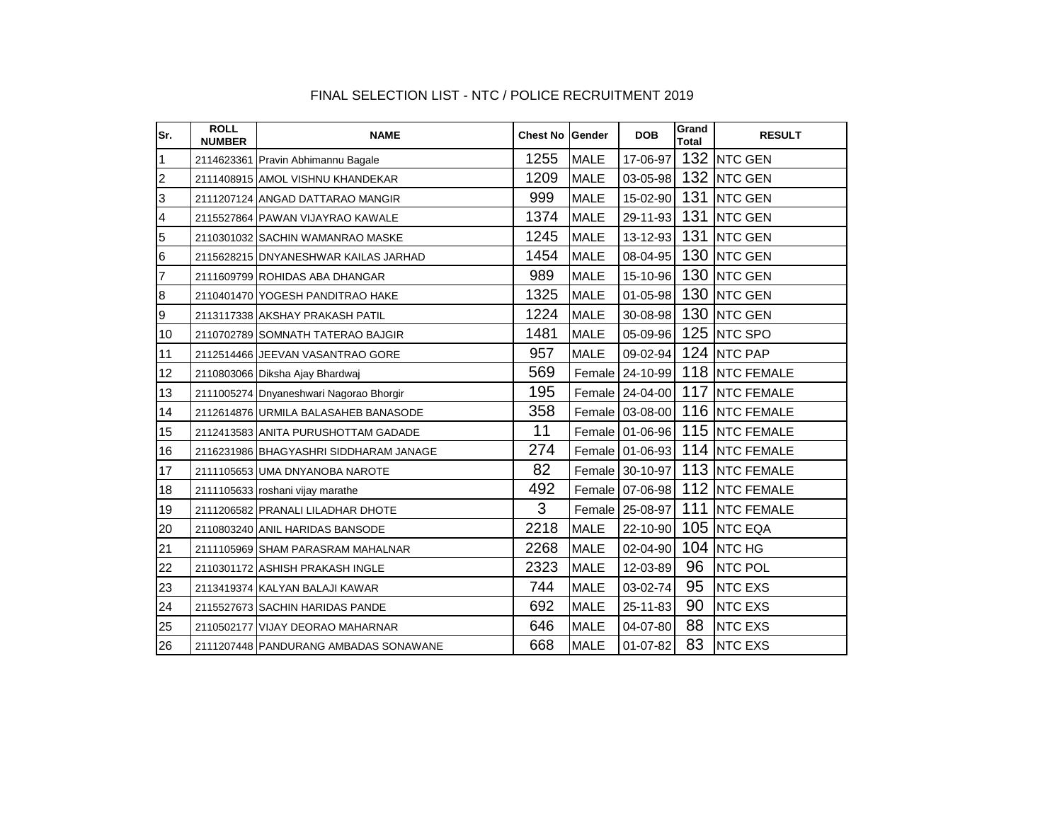| Sr.            | <b>ROLL</b><br><b>NUMBER</b> | <b>NAME</b>                             | <b>Chest No Gender</b> |             | <b>DOB</b>      | Grand<br>Total | <b>RESULT</b>                  |
|----------------|------------------------------|-----------------------------------------|------------------------|-------------|-----------------|----------------|--------------------------------|
| 1              |                              | 2114623361 Pravin Abhimannu Bagale      | 1255                   | <b>MALE</b> | 17-06-97        |                | 132 NTC GEN                    |
| $\overline{2}$ |                              | 2111408915 AMOL VISHNU KHANDEKAR        | 1209                   | <b>MALE</b> | 03-05-98        |                | 132 NTC GEN                    |
| 3              |                              | 2111207124 ANGAD DATTARAO MANGIR        | 999                    | <b>MALE</b> | 15-02-90        |                | 131 NTC GEN                    |
| $\overline{4}$ |                              | 2115527864 PAWAN VIJAYRAO KAWALE        | 1374                   | <b>MALE</b> |                 |                | 29-11-93 131 NTC GEN           |
| 5              |                              | 2110301032 SACHIN WAMANRAO MASKE        | 1245                   | <b>MALE</b> | 13-12-93        |                | 131 NTC GEN                    |
| 6              |                              | 2115628215 DNYANESHWAR KAILAS JARHAD    | 1454                   | <b>MALE</b> | 08-04-95        |                | 130 NTC GEN                    |
| 7              |                              | 2111609799 ROHIDAS ABA DHANGAR          | 989                    | <b>MALE</b> | 15-10-96        |                | 130 NTC GEN                    |
| 8              |                              | 2110401470 YOGESH PANDITRAO HAKE        | 1325                   | <b>MALE</b> | $01 - 05 - 98$  |                | 130 NTC GEN                    |
| 9              |                              | 2113117338 AKSHAY PRAKASH PATIL         | 1224                   | <b>MALE</b> | 30-08-98        |                | 130 NTC GEN                    |
| 10             |                              | 2110702789 SOMNATH TATERAO BAJGIR       | 1481                   | <b>MALE</b> |                 |                | 05-09-96 125 NTC SPO           |
| 11             |                              | 2112514466 JEEVAN VASANTRAO GORE        | 957                    | <b>MALE</b> | $09 - 02 - 94$  |                | 124 NTC PAP                    |
| 12             |                              | 2110803066 Diksha Ajay Bhardwaj         | 569                    |             | Female 24-10-99 |                | 118 NTC FEMALE                 |
| 13             |                              | 2111005274 Dnyaneshwari Nagorao Bhorgir | 195                    |             |                 |                | Female 24-04-00 117 NTC FEMALE |
| 14             |                              | 2112614876 URMILA BALASAHEB BANASODE    | 358                    |             |                 |                | Female 03-08-00 116 NTC FEMALE |
| 15             |                              | 2112413583 ANITA PURUSHOTTAM GADADE     | 11                     |             |                 |                | Female 01-06-96 115 NTC FEMALE |
| 16             |                              | 2116231986 BHAGYASHRI SIDDHARAM JANAGE  | 274                    |             |                 |                | Female 01-06-93 114 NTC FEMALE |
| 17             |                              | 2111105653 UMA DNYANOBA NAROTE          | 82                     |             |                 |                | Female 30-10-97 113 NTC FEMALE |
| 18             |                              | 2111105633 roshani vijay marathe        | 492                    |             | Female 07-06-98 |                | 112 NTC FEMALE                 |
| 19             |                              | 2111206582 PRANALI LILADHAR DHOTE       | 3                      |             | Female 25-08-97 |                | 111 NTC FEMALE                 |
| 20             |                              | 2110803240 ANIL HARIDAS BANSODE         | 2218                   | <b>MALE</b> | 22-10-90        |                | 105 NTC EQA                    |
| 21             |                              | 2111105969 SHAM PARASRAM MAHALNAR       | 2268                   | <b>MALE</b> | 02-04-90        |                | $104$ NTC HG                   |
| 22             |                              | 2110301172 ASHISH PRAKASH INGLE         | 2323                   | <b>MALE</b> | 12-03-89        | 96             | <b>NTC POL</b>                 |
| 23             |                              | 2113419374 KALYAN BALAJI KAWAR          | 744                    | <b>MALE</b> | 03-02-74        | 95             | <b>NTC EXS</b>                 |
| 24             |                              | 2115527673 SACHIN HARIDAS PANDE         | 692                    | <b>MALE</b> | 25-11-83        | 90             | <b>NTC EXS</b>                 |
| 25             |                              | 2110502177 VIJAY DEORAO MAHARNAR        | 646                    | <b>MALE</b> | 04-07-80        | 88             | <b>NTC EXS</b>                 |
| 26             |                              | 2111207448 PANDURANG AMBADAS SONAWANE   | 668                    | <b>MALE</b> | 01-07-82        | 83             | <b>NTC EXS</b>                 |

### FINAL SELECTION LIST - NTC / POLICE RECRUITMENT 2019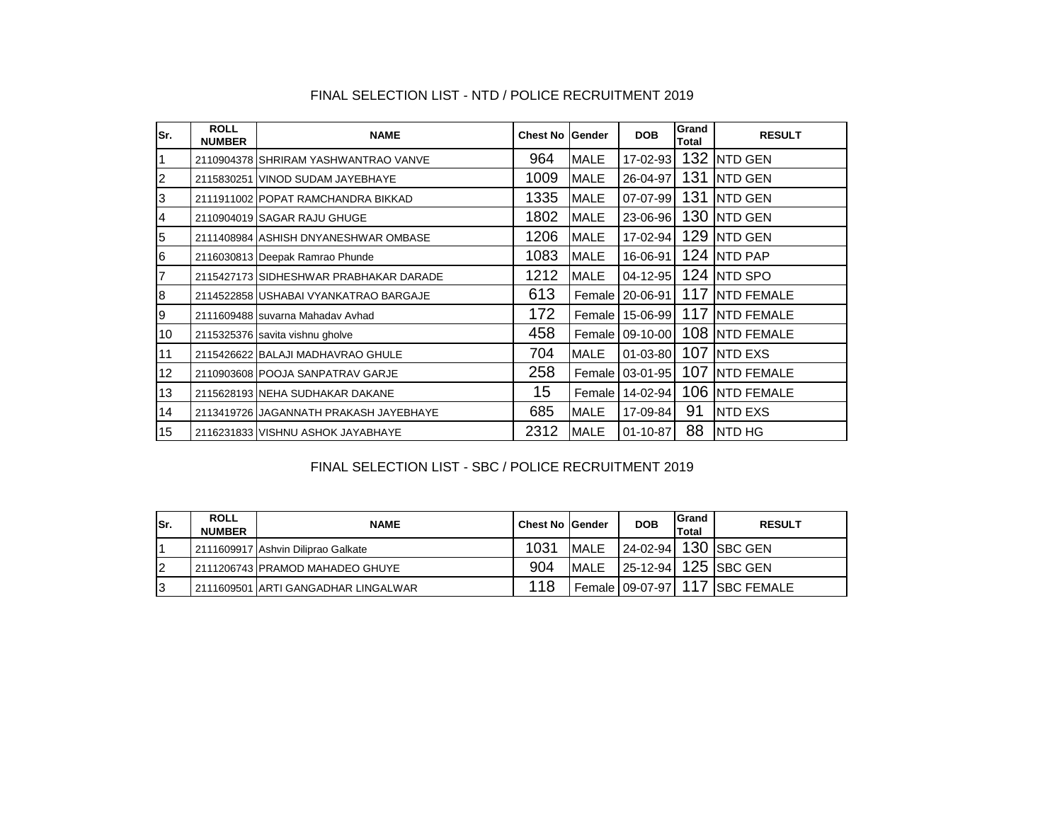| Sr. | <b>ROLL</b><br><b>NUMBER</b> | <b>NAME</b>                            | <b>Chest No</b> | Gender      | <b>DOB</b>        | Grand<br>Total | <b>RESULT</b>  |
|-----|------------------------------|----------------------------------------|-----------------|-------------|-------------------|----------------|----------------|
|     |                              | 2110904378 SHRIRAM YASHWANTRAO VANVE   | 964             | MALE        | 17-02-93          |                | 132 NTD GEN    |
| l2  |                              | 2115830251 VINOD SUDAM JAYEBHAYE       | 1009            | <b>MALE</b> | 26-04-97          | 131            | <b>NTD GEN</b> |
| Iз  |                              | 2111911002 POPAT RAMCHANDRA BIKKAD     | 1335            | <b>MALE</b> | 07-07-99          | 131            | <b>NTD GEN</b> |
| 14  |                              | 2110904019 SAGAR RAJU GHUGE            | 1802            | <b>MALE</b> | 23-06-96          |                | 130 NTD GEN    |
| 5   |                              | 2111408984 ASHISH DNYANESHWAR OMBASE   | 1206            | <b>MALE</b> | 17-02-94          |                | 129 NTD GEN    |
| 6   |                              | 2116030813 Deepak Ramrao Phunde        | 1083            | <b>MALE</b> | 16-06-91          |                | 124 NTD PAP    |
| 17  |                              | 2115427173 SIDHESHWAR PRABHAKAR DARADE | 1212            | <b>MALE</b> | $04 - 12 - 95$    |                | 124 NTD SPO    |
| 8   |                              | 2114522858 USHABAI VYANKATRAO BARGAJE  | 613             |             | Female 20-06-91   |                | 117 NTD FEMALE |
| Ι9  |                              | 2111609488 suvarna Mahadav Avhad       | 172             |             | Female 15-06-99   |                | 117 NTD FEMALE |
| 10  |                              | 2115325376 savita vishnu gholve        | 458             |             | Female 09-10-00   |                | 108 NTD FEMALE |
| 11  |                              | 2115426622 BALAJI MADHAVRAO GHULE      | 704             | <b>MALE</b> | $01 - 03 - 80$    | 107            | <b>NTD EXS</b> |
| 12  |                              | 2110903608 POOJA SANPATRAV GARJE       | 258             |             | Female   03-01-95 |                | 107 NTD FEMALE |
| 13  |                              | 2115628193 NEHA SUDHAKAR DAKANE        | 15              | Female      | 14-02-94          |                | 106 NTD FEMALE |
| 14  |                              | 2113419726 JAGANNATH PRAKASH JAYEBHAYE | 685             | <b>MALE</b> | 17-09-84          | 91             | <b>NTD EXS</b> |
| 15  |                              | 2116231833 VISHNU ASHOK JAYABHAYE      | 2312            | <b>MALE</b> | $01 - 10 - 87$    | 88             | <b>INTD HG</b> |

#### FINAL SELECTION LIST - NTD / POLICE RECRUITMENT 2019

#### FINAL SELECTION LIST - SBC / POLICE RECRUITMENT 2019

| ISr. | <b>ROLL</b><br><b>NUMBER</b> | <b>NAME</b>                         | <b>Chest No Gender</b> |             | <b>DOB</b>      | Grand<br><b>Total</b> | <b>RESULT</b>        |
|------|------------------------------|-------------------------------------|------------------------|-------------|-----------------|-----------------------|----------------------|
|      |                              | 2111609917 Ashvin Diliprao Galkate  | 1031                   | MALE        |                 |                       | 24-02-94 130 SBC GEN |
| l2   |                              | 2111206743 PRAMOD MAHADEO GHUYE     | 904                    | <b>MALE</b> |                 |                       | 25-12-94 125 SBC GEN |
| I3   |                              | 2111609501 ARTI GANGADHAR LINGALWAR | 118                    |             | Female 09-07-97 | 117                   | SBC FEMALE           |